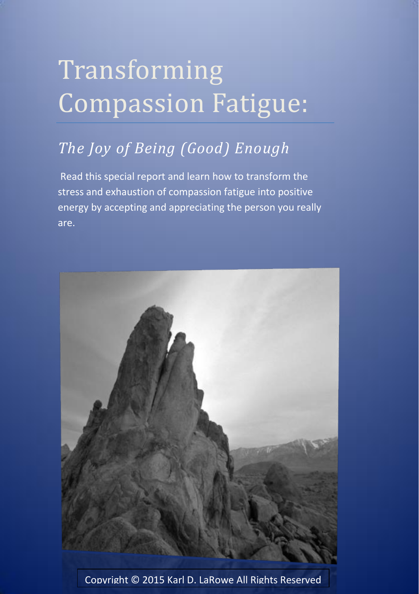# Transforming Compassion Fatigue:

## *The Joy of Being (Good) Enough*

Read this special report and learn how to transform the stress and exhaustion of compassion fatigue into positive energy by accepting and appreciating the person you really are.



Copyright © 2015 Karl D. LaRowe All Rights Reserved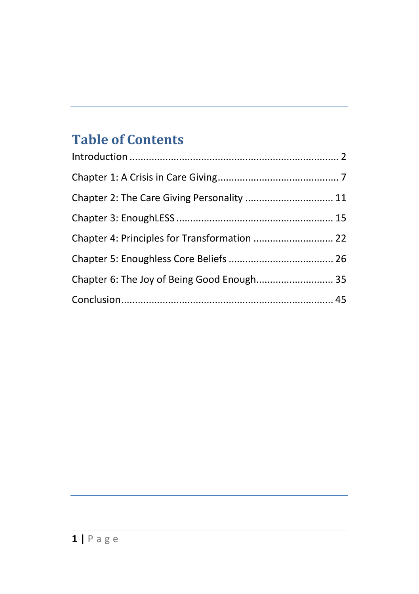## **Table of Contents**

| Chapter 2: The Care Giving Personality  11   |  |
|----------------------------------------------|--|
|                                              |  |
| Chapter 4: Principles for Transformation  22 |  |
|                                              |  |
| Chapter 6: The Joy of Being Good Enough 35   |  |
|                                              |  |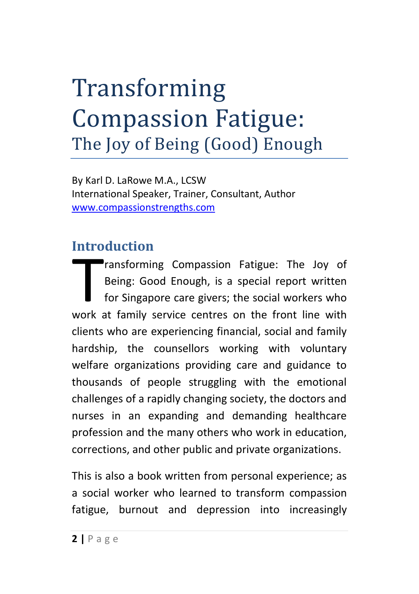## Transforming Compassion Fatigue: The Joy of Being (Good) Enough

By Karl D. LaRowe M.A., LCSW International Speaker, Trainer, Consultant, Author [www.compassionstrengths.com](http://www.compassionstrengths.com/)

#### <span id="page-2-0"></span>**Introduction**

ransforming Compassion Fatigue: The Joy of Being: Good Enough, is a special report written for Singapore care givers; the social workers who ransforming Compassion Fatigue: The Joy of Being: Good Enough, is a special report written for Singapore care givers; the social workers who work at family service centres on the front line with clients who are experiencing financial, social and family hardship, the counsellors working with voluntary welfare organizations providing care and guidance to thousands of people struggling with the emotional challenges of a rapidly changing society, the doctors and nurses in an expanding and demanding healthcare profession and the many others who work in education, corrections, and other public and private organizations.

This is also a book written from personal experience; as a social worker who learned to transform compassion fatigue, burnout and depression into increasingly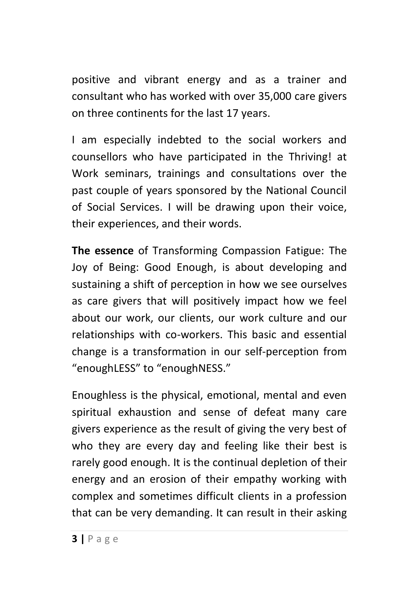positive and vibrant energy and as a trainer and consultant who has worked with over 35,000 care givers on three continents for the last 17 years.

I am especially indebted to the social workers and counsellors who have participated in the Thriving! at Work seminars, trainings and consultations over the past couple of years sponsored by the National Council of Social Services. I will be drawing upon their voice, their experiences, and their words.

**The essence** of Transforming Compassion Fatigue: The Joy of Being: Good Enough, is about developing and sustaining a shift of perception in how we see ourselves as care givers that will positively impact how we feel about our work, our clients, our work culture and our relationships with co-workers. This basic and essential change is a transformation in our self-perception from "enoughLESS" to "enoughNESS."

Enoughless is the physical, emotional, mental and even spiritual exhaustion and sense of defeat many care givers experience as the result of giving the very best of who they are every day and feeling like their best is rarely good enough. It is the continual depletion of their energy and an erosion of their empathy working with complex and sometimes difficult clients in a profession that can be very demanding. It can result in their asking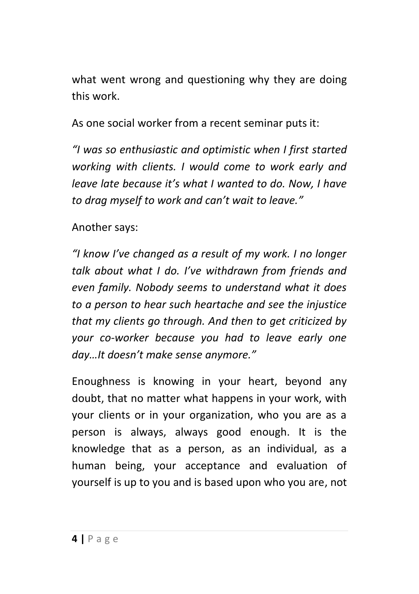what went wrong and questioning why they are doing this work.

As one social worker from a recent seminar puts it:

*"I was so enthusiastic and optimistic when I first started working with clients. I would come to work early and leave late because it's what I wanted to do. Now, I have to drag myself to work and can't wait to leave."*

Another says:

*"I know I've changed as a result of my work. I no longer talk about what I do. I've withdrawn from friends and even family. Nobody seems to understand what it does to a person to hear such heartache and see the injustice that my clients go through. And then to get criticized by your co-worker because you had to leave early one day…It doesn't make sense anymore."*

Enoughness is knowing in your heart, beyond any doubt, that no matter what happens in your work, with your clients or in your organization, who you are as a person is always, always good enough. It is the knowledge that as a person, as an individual, as a human being, your acceptance and evaluation of yourself is up to you and is based upon who you are, not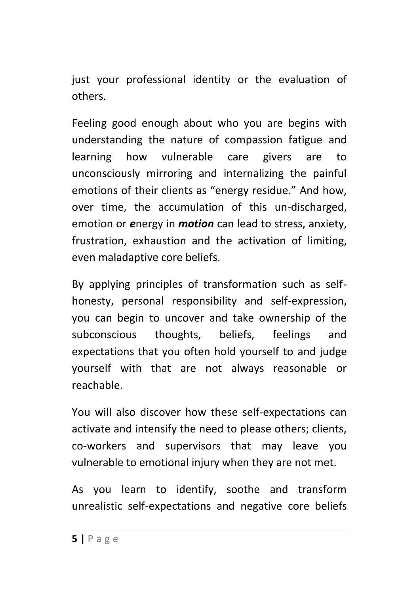just your professional identity or the evaluation of others.

Feeling good enough about who you are begins with understanding the nature of compassion fatigue and learning how vulnerable care givers are to unconsciously mirroring and internalizing the painful emotions of their clients as "energy residue." And how, over time, the accumulation of this un-discharged, emotion or *e*nergy in *motion* can lead to stress, anxiety, frustration, exhaustion and the activation of limiting, even maladaptive core beliefs.

By applying principles of transformation such as selfhonesty, personal responsibility and self-expression, you can begin to uncover and take ownership of the subconscious thoughts, beliefs, feelings and expectations that you often hold yourself to and judge yourself with that are not always reasonable or reachable.

You will also discover how these self-expectations can activate and intensify the need to please others; clients, co-workers and supervisors that may leave you vulnerable to emotional injury when they are not met.

As you learn to identify, soothe and transform unrealistic self-expectations and negative core beliefs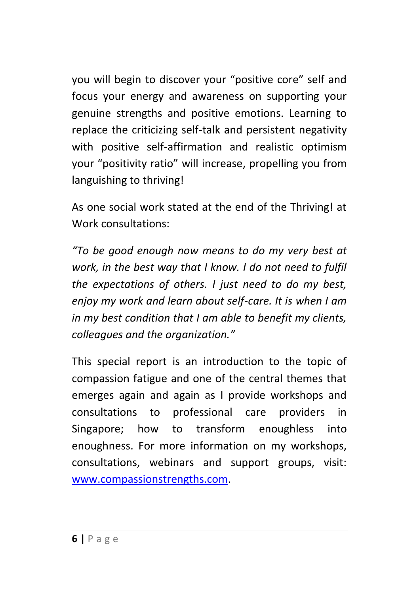you will begin to discover your "positive core" self and focus your energy and awareness on supporting your genuine strengths and positive emotions. Learning to replace the criticizing self-talk and persistent negativity with positive self-affirmation and realistic optimism your "positivity ratio" will increase, propelling you from languishing to thriving!

As one social work stated at the end of the Thriving! at Work consultations:

*"To be good enough now means to do my very best at work, in the best way that I know. I do not need to fulfil the expectations of others. I just need to do my best, enjoy my work and learn about self-care. It is when I am in my best condition that I am able to benefit my clients, colleagues and the organization."*

This special report is an introduction to the topic of compassion fatigue and one of the central themes that emerges again and again as I provide workshops and consultations to professional care providers in Singapore; how to transform enoughless into enoughness. For more information on my workshops, consultations, webinars and support groups, visit: [www.compassionstrengths.com.](http://www.compassionstrengths.com/)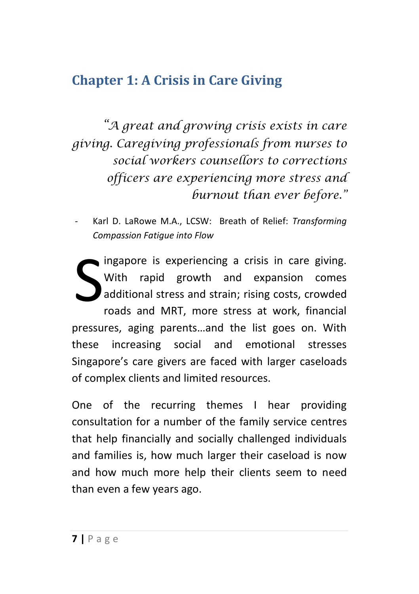#### <span id="page-7-0"></span>**Chapter 1: A Crisis in Care Giving**

*"A great and growing crisis exists in care giving. Caregiving professionals from nurses to social workers counsellors to corrections officers are experiencing more stress and burnout than ever before."*

- Karl D. LaRowe M.A., LCSW: Breath of Relief: *Transforming Compassion Fatigue into Flow*

ingapore is experiencing a crisis in care giving. With rapid growth and expansion comes additional stress and strain; rising costs, crowded roads and MRT, more stress at work, financial pressures, aging parents…and the list goes on. With these increasing social and emotional stresses Singapore's care givers are faced with larger caseloads of complex clients and limited resources. S

One of the recurring themes I hear providing consultation for a number of the family service centres that help financially and socially challenged individuals and families is, how much larger their caseload is now and how much more help their clients seem to need than even a few years ago.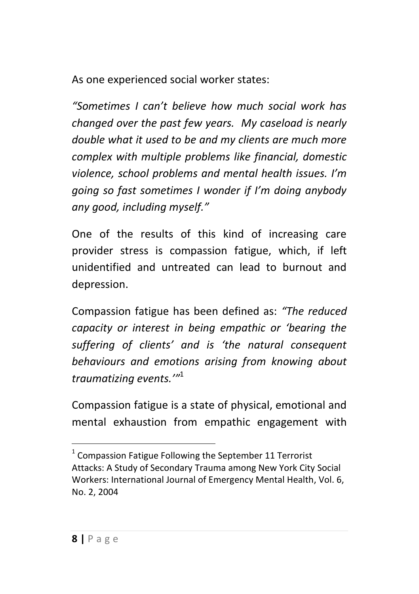As one experienced social worker states:

*"Sometimes I can't believe how much social work has changed over the past few years. My caseload is nearly double what it used to be and my clients are much more complex with multiple problems like financial, domestic violence, school problems and mental health issues. I'm going so fast sometimes I wonder if I'm doing anybody any good, including myself."* 

One of the results of this kind of increasing care provider stress is compassion fatigue, which, if left unidentified and untreated can lead to burnout and depression.

Compassion fatigue has been defined as: *"The reduced capacity or interest in being empathic or 'bearing the suffering of clients' and is 'the natural consequent behaviours and emotions arising from knowing about traumatizing events.'"* 1

Compassion fatigue is a state of physical, emotional and mental exhaustion from empathic engagement with

-

 $1$  Compassion Fatigue Following the September 11 Terrorist Attacks: A Study of Secondary Trauma among New York City Social Workers: International Journal of Emergency Mental Health, Vol. 6, No. 2, 2004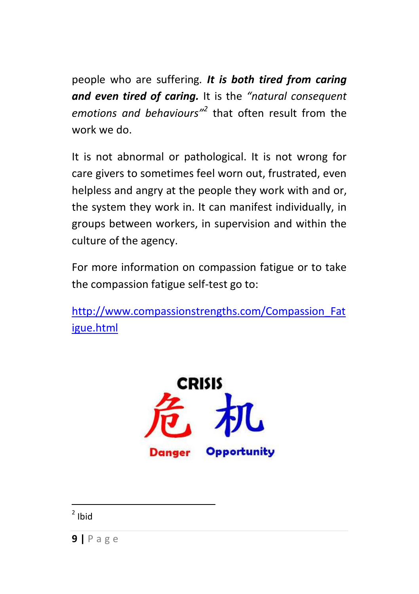people who are suffering*. It is both tired from caring and even tired of caring.* It is the *"natural consequent emotions and behaviours"<sup>2</sup>* that often result from the work we do.

It is not abnormal or pathological. It is not wrong for care givers to sometimes feel worn out, frustrated, even helpless and angry at the people they work with and or, the system they work in. It can manifest individually, in groups between workers, in supervision and within the culture of the agency.

For more information on compassion fatigue or to take the compassion fatigue self-test go to:

[http://www.compassionstrengths.com/Compassion\\_Fat](http://www.compassionstrengths.com/Compassion_Fatigue.html) [igue.html](http://www.compassionstrengths.com/Compassion_Fatigue.html)

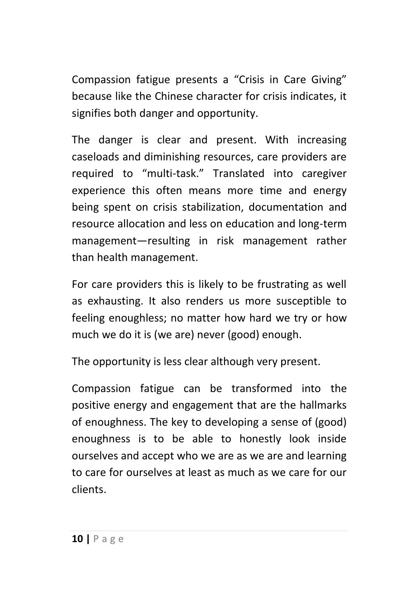Compassion fatigue presents a "Crisis in Care Giving" because like the Chinese character for crisis indicates, it signifies both danger and opportunity.

The danger is clear and present. With increasing caseloads and diminishing resources, care providers are required to "multi-task." Translated into caregiver experience this often means more time and energy being spent on crisis stabilization, documentation and resource allocation and less on education and long-term management—resulting in risk management rather than health management.

For care providers this is likely to be frustrating as well as exhausting. It also renders us more susceptible to feeling enoughless; no matter how hard we try or how much we do it is (we are) never (good) enough.

The opportunity is less clear although very present.

Compassion fatigue can be transformed into the positive energy and engagement that are the hallmarks of enoughness. The key to developing a sense of (good) enoughness is to be able to honestly look inside ourselves and accept who we are as we are and learning to care for ourselves at least as much as we care for our clients.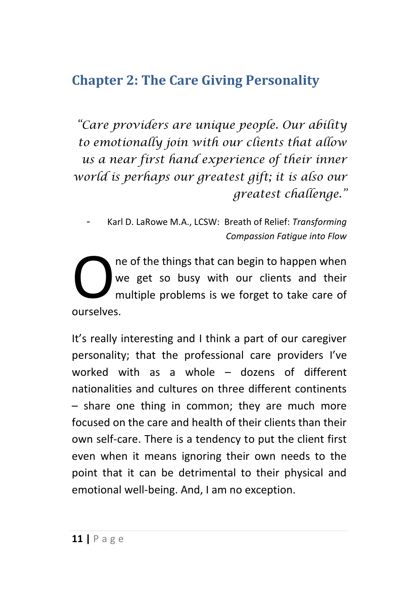#### <span id="page-11-0"></span>**Chapter 2: The Care Giving Personality**

*"Care providers are unique people. Our ability to emotionally join with our clients that allow us a near first hand experience of their inner world is perhaps our greatest gift; it is also our greatest challenge."*

- Karl D. LaRowe M.A., LCSW: Breath of Relief: *Transforming Compassion Fatigue into Flow*

ne of the things that can begin to happen when we get so busy with our clients and their multiple problems is we forget to take care of Owner<br>
ourselves.

It's really interesting and I think a part of our caregiver personality; that the professional care providers I've worked with as a whole – dozens of different nationalities and cultures on three different continents – share one thing in common; they are much more focused on the care and health of their clients than their own self-care. There is a tendency to put the client first even when it means ignoring their own needs to the point that it can be detrimental to their physical and emotional well-being. And, I am no exception.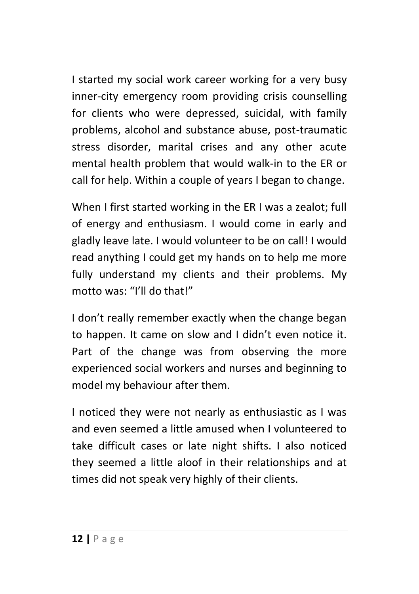I started my social work career working for a very busy inner-city emergency room providing crisis counselling for clients who were depressed, suicidal, with family problems, alcohol and substance abuse, post-traumatic stress disorder, marital crises and any other acute mental health problem that would walk-in to the ER or call for help. Within a couple of years I began to change.

When I first started working in the ER I was a zealot; full of energy and enthusiasm. I would come in early and gladly leave late. I would volunteer to be on call! I would read anything I could get my hands on to help me more fully understand my clients and their problems. My motto was: "I'll do that!"

I don't really remember exactly when the change began to happen. It came on slow and I didn't even notice it. Part of the change was from observing the more experienced social workers and nurses and beginning to model my behaviour after them.

I noticed they were not nearly as enthusiastic as I was and even seemed a little amused when I volunteered to take difficult cases or late night shifts. I also noticed they seemed a little aloof in their relationships and at times did not speak very highly of their clients.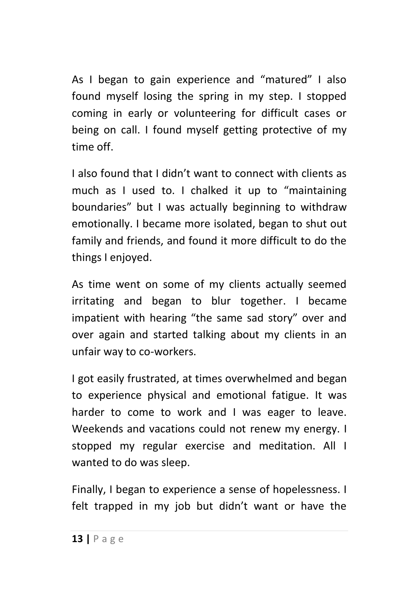As I began to gain experience and "matured" I also found myself losing the spring in my step. I stopped coming in early or volunteering for difficult cases or being on call. I found myself getting protective of my time off.

I also found that I didn't want to connect with clients as much as I used to. I chalked it up to "maintaining boundaries" but I was actually beginning to withdraw emotionally. I became more isolated, began to shut out family and friends, and found it more difficult to do the things I enjoyed.

As time went on some of my clients actually seemed irritating and began to blur together. I became impatient with hearing "the same sad story" over and over again and started talking about my clients in an unfair way to co-workers.

I got easily frustrated, at times overwhelmed and began to experience physical and emotional fatigue. It was harder to come to work and I was eager to leave. Weekends and vacations could not renew my energy. I stopped my regular exercise and meditation. All I wanted to do was sleep.

Finally, I began to experience a sense of hopelessness. I felt trapped in my job but didn't want or have the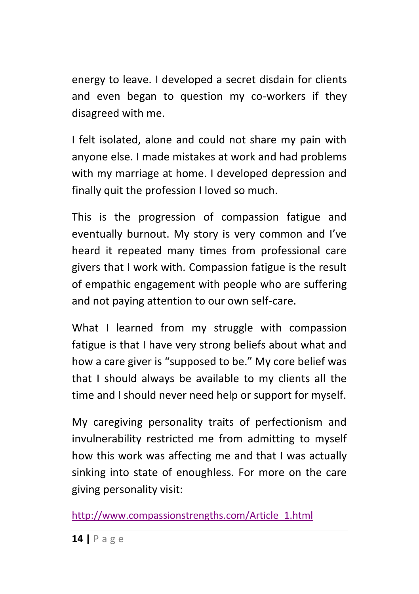energy to leave. I developed a secret disdain for clients and even began to question my co-workers if they disagreed with me.

I felt isolated, alone and could not share my pain with anyone else. I made mistakes at work and had problems with my marriage at home. I developed depression and finally quit the profession I loved so much.

This is the progression of compassion fatigue and eventually burnout. My story is very common and I've heard it repeated many times from professional care givers that I work with. Compassion fatigue is the result of empathic engagement with people who are suffering and not paying attention to our own self-care.

What I learned from my struggle with compassion fatigue is that I have very strong beliefs about what and how a care giver is "supposed to be." My core belief was that I should always be available to my clients all the time and I should never need help or support for myself.

My caregiving personality traits of perfectionism and invulnerability restricted me from admitting to myself how this work was affecting me and that I was actually sinking into state of enoughless. For more on the care giving personality visit:

[http://www.compassionstrengths.com/Article\\_1.html](http://www.compassionstrengths.com/Article_1.html)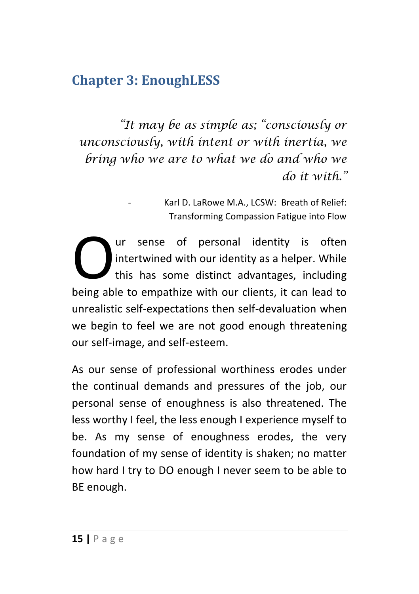#### <span id="page-15-0"></span>**Chapter 3: EnoughLESS**

*"It may be as simple as; "consciously or unconsciously, with intent or with inertia, we bring who we are to what we do and who we do it with."*

> - Karl D. LaRowe M.A., LCSW: Breath of Relief: Transforming Compassion Fatigue into Flow

ur sense of personal identity is often intertwined with our identity as a helper. While this has some distinct advantages, including Our sense of personal identity is often<br>intertwined with our identity as a helper. While<br>this has some distinct advantages, including<br>being able to empathize with our clients, it can lead to unrealistic self-expectations then self-devaluation when we begin to feel we are not good enough threatening our self-image, and self-esteem.

As our sense of professional worthiness erodes under the continual demands and pressures of the job, our personal sense of enoughness is also threatened. The less worthy I feel, the less enough I experience myself to be. As my sense of enoughness erodes, the very foundation of my sense of identity is shaken; no matter how hard I try to DO enough I never seem to be able to BE enough.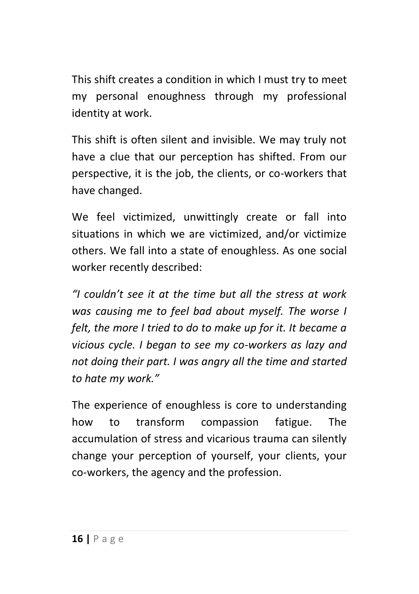This shift creates a condition in which I must try to meet my personal enoughness through my professional identity at work.

This shift is often silent and invisible. We may truly not have a clue that our perception has shifted. From our perspective, it is the job, the clients, or co-workers that have changed.

We feel victimized, unwittingly create or fall into situations in which we are victimized, and/or victimize others. We fall into a state of enoughless. As one social worker recently described:

*"I couldn't see it at the time but all the stress at work was causing me to feel bad about myself. The worse I felt, the more I tried to do to make up for it. It became a vicious cycle. I began to see my co-workers as lazy and not doing their part. I was angry all the time and started to hate my work."* 

The experience of enoughless is core to understanding how to transform compassion fatigue. The accumulation of stress and vicarious trauma can silently change your perception of yourself, your clients, your co-workers, the agency and the profession.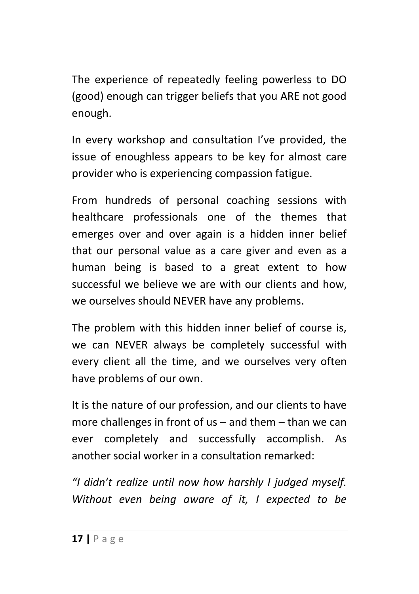The experience of repeatedly feeling powerless to DO (good) enough can trigger beliefs that you ARE not good enough.

In every workshop and consultation I've provided, the issue of enoughless appears to be key for almost care provider who is experiencing compassion fatigue.

From hundreds of personal coaching sessions with healthcare professionals one of the themes that emerges over and over again is a hidden inner belief that our personal value as a care giver and even as a human being is based to a great extent to how successful we believe we are with our clients and how, we ourselves should NEVER have any problems.

The problem with this hidden inner belief of course is, we can NEVER always be completely successful with every client all the time, and we ourselves very often have problems of our own.

It is the nature of our profession, and our clients to have more challenges in front of us – and them – than we can ever completely and successfully accomplish. As another social worker in a consultation remarked:

*"I didn't realize until now how harshly I judged myself. Without even being aware of it, I expected to be*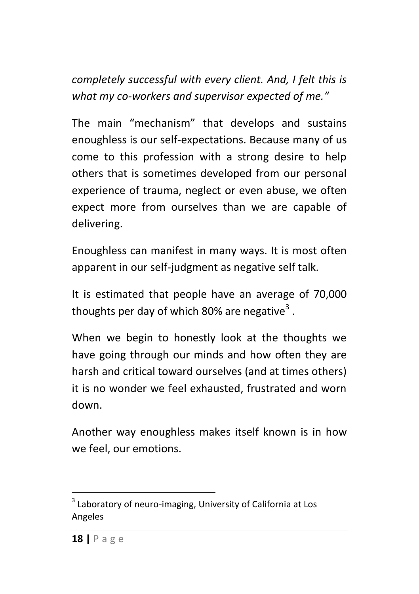*completely successful with every client. And, I felt this is what my co-workers and supervisor expected of me."*

The main "mechanism" that develops and sustains enoughless is our self-expectations. Because many of us come to this profession with a strong desire to help others that is sometimes developed from our personal experience of trauma, neglect or even abuse, we often expect more from ourselves than we are capable of delivering.

Enoughless can manifest in many ways. It is most often apparent in our self-judgment as negative self talk.

It is estimated that people have an average of 70,000 thoughts per day of which 80% are negative<sup>3</sup>.

When we begin to honestly look at the thoughts we have going through our minds and how often they are harsh and critical toward ourselves (and at times others) it is no wonder we feel exhausted, frustrated and worn down.

Another way enoughless makes itself known is in how we feel, our emotions.

 3 Laboratory of neuro-imaging, University of California at Los Angeles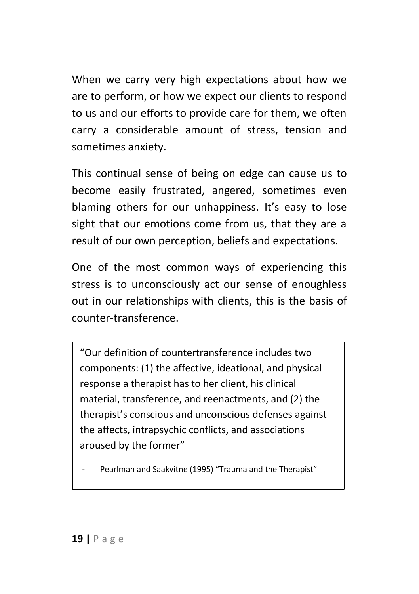When we carry very high expectations about how we are to perform, or how we expect our clients to respond to us and our efforts to provide care for them, we often carry a considerable amount of stress, tension and sometimes anxiety.

This continual sense of being on edge can cause us to become easily frustrated, angered, sometimes even blaming others for our unhappiness. It's easy to lose sight that our emotions come from us, that they are a result of our own perception, beliefs and expectations.

One of the most common ways of experiencing this stress is to unconsciously act our sense of enoughless out in our relationships with clients, this is the basis of counter-transference.

"Our definition of countertransference includes two components: (1) the affective, ideational, and physical response a therapist has to her client, his clinical material, transference, and reenactments, and (2) the therapist's conscious and unconscious defenses against the affects, intrapsychic conflicts, and associations aroused by the former"

Pearlman and Saakvitne (1995) "Trauma and the Therapist"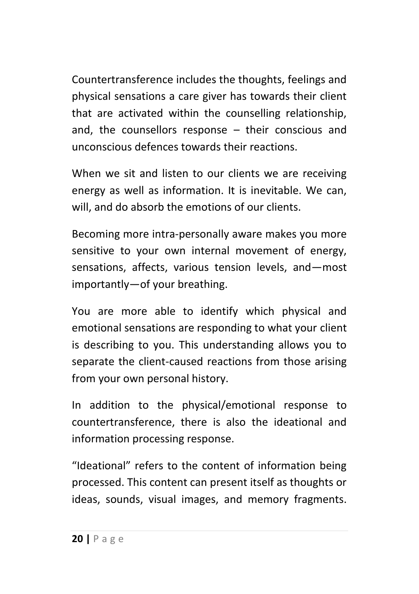Countertransference includes the thoughts, feelings and physical sensations a care giver has towards their client that are activated within the counselling relationship, and, the counsellors response – their conscious and unconscious defences towards their reactions.

When we sit and listen to our clients we are receiving energy as well as information. It is inevitable. We can, will, and do absorb the emotions of our clients.

Becoming more intra-personally aware makes you more sensitive to your own internal movement of energy, sensations, affects, various tension levels, and—most importantly—of your breathing.

You are more able to identify which physical and emotional sensations are responding to what your client is describing to you. This understanding allows you to separate the client-caused reactions from those arising from your own personal history.

In addition to the physical/emotional response to countertransference, there is also the ideational and information processing response.

"Ideational" refers to the content of information being processed. This content can present itself as thoughts or ideas, sounds, visual images, and memory fragments.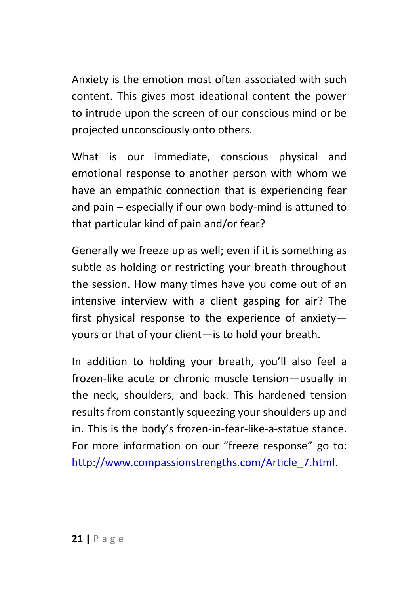Anxiety is the emotion most often associated with such content. This gives most ideational content the power to intrude upon the screen of our conscious mind or be projected unconsciously onto others.

What is our immediate, conscious physical and emotional response to another person with whom we have an empathic connection that is experiencing fear and pain – especially if our own body-mind is attuned to that particular kind of pain and/or fear?

Generally we freeze up as well; even if it is something as subtle as holding or restricting your breath throughout the session. How many times have you come out of an intensive interview with a client gasping for air? The first physical response to the experience of anxiety yours or that of your client—is to hold your breath.

In addition to holding your breath, you'll also feel a frozen-like acute or chronic muscle tension—usually in the neck, shoulders, and back. This hardened tension results from constantly squeezing your shoulders up and in. This is the body's frozen-in-fear-like-a-statue stance. For more information on our "freeze response" go to: [http://www.compassionstrengths.com/Article\\_7.html.](http://www.compassionstrengths.com/Article_7.html)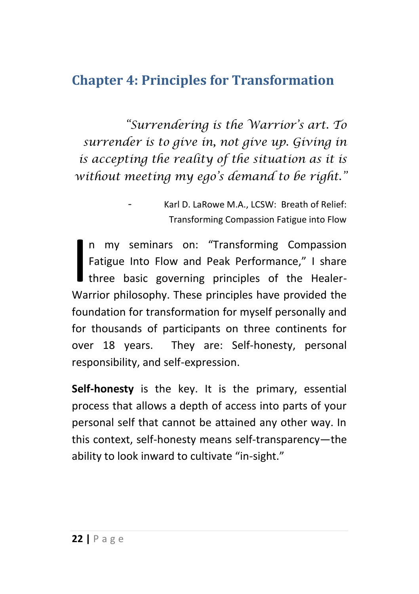#### <span id="page-22-0"></span>**Chapter 4: Principles for Transformation**

*"Surrendering is the Warrior's art. To surrender is to give in, not give up. Giving in is accepting the reality of the situation as it is without meeting my ego's demand to be right."*

n my seminars on: "Transforming Compassion Fatigue Into Flow and Peak Performance," I share three basic governing principles of the Healer-In my seminars on: "Transforming Compassion<br>Fatigue Into Flow and Peak Performance," I share<br>three basic governing principles of the Healer-<br>Warrior philosophy. These principles have provided the foundation for transformation for myself personally and for thousands of participants on three continents for over 18 years. They are: Self-honesty, personal responsibility, and self-expression.

**Self-honesty** is the key. It is the primary, essential process that allows a depth of access into parts of your personal self that cannot be attained any other way. In this context, self-honesty means self-transparency—the ability to look inward to cultivate "in-sight."

Karl D. LaRowe M.A., LCSW: Breath of Relief: Transforming Compassion Fatigue into Flow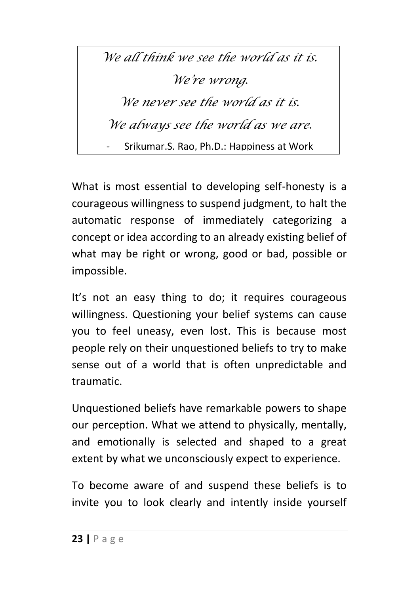*We all think we see the world as it is. We're wrong. We never see the world as it is. We always see the world as we are.* - Srikumar.S. Rao, Ph.D.: Happiness at Work

What is most essential to developing self-honesty is a courageous willingness to suspend judgment, to halt the automatic response of immediately categorizing a concept or idea according to an already existing belief of what may be right or wrong, good or bad, possible or impossible.

It's not an easy thing to do; it requires courageous willingness. Questioning your belief systems can cause you to feel uneasy, even lost. This is because most people rely on their unquestioned beliefs to try to make sense out of a world that is often unpredictable and traumatic.

Unquestioned beliefs have remarkable powers to shape our perception. What we attend to physically, mentally, and emotionally is selected and shaped to a great extent by what we unconsciously expect to experience.

To become aware of and suspend these beliefs is to invite you to look clearly and intently inside yourself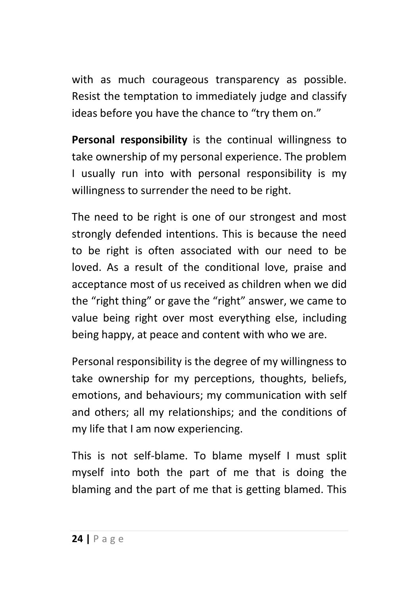with as much courageous transparency as possible. Resist the temptation to immediately judge and classify ideas before you have the chance to "try them on."

**Personal responsibility** is the continual willingness to take ownership of my personal experience. The problem I usually run into with personal responsibility is my willingness to surrender the need to be right.

The need to be right is one of our strongest and most strongly defended intentions. This is because the need to be right is often associated with our need to be loved. As a result of the conditional love, praise and acceptance most of us received as children when we did the "right thing" or gave the "right" answer, we came to value being right over most everything else, including being happy, at peace and content with who we are.

Personal responsibility is the degree of my willingness to take ownership for my perceptions, thoughts, beliefs, emotions, and behaviours; my communication with self and others; all my relationships; and the conditions of my life that I am now experiencing.

This is not self-blame. To blame myself I must split myself into both the part of me that is doing the blaming and the part of me that is getting blamed. This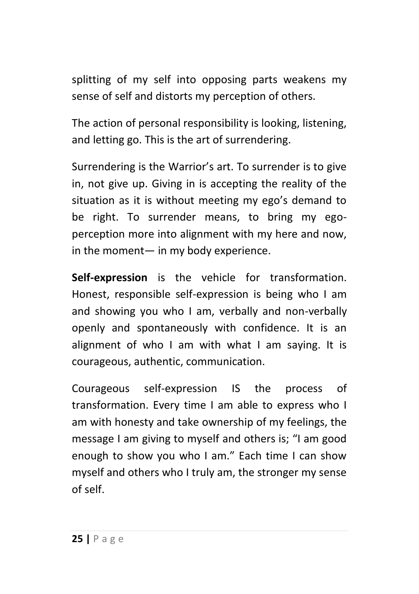splitting of my self into opposing parts weakens my sense of self and distorts my perception of others.

The action of personal responsibility is looking, listening, and letting go. This is the art of surrendering.

Surrendering is the Warrior's art. To surrender is to give in, not give up. Giving in is accepting the reality of the situation as it is without meeting my ego's demand to be right. To surrender means, to bring my egoperception more into alignment with my here and now, in the moment— in my body experience.

**Self-expression** is the vehicle for transformation. Honest, responsible self-expression is being who I am and showing you who I am, verbally and non-verbally openly and spontaneously with confidence. It is an alignment of who I am with what I am saying. It is courageous, authentic, communication.

Courageous self-expression IS the process of transformation. Every time I am able to express who I am with honesty and take ownership of my feelings, the message I am giving to myself and others is; "I am good enough to show you who I am." Each time I can show myself and others who I truly am, the stronger my sense of self.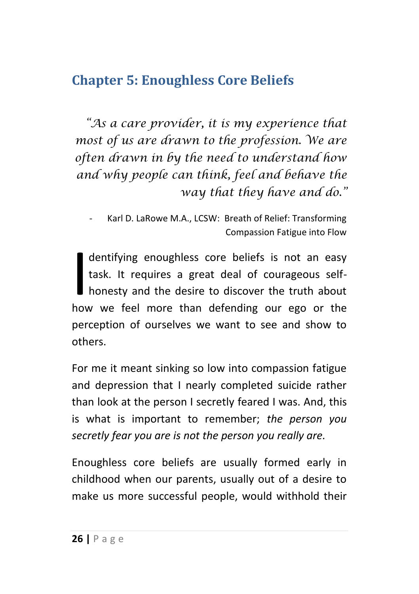#### <span id="page-26-0"></span>**Chapter 5: Enoughless Core Beliefs**

*"As a care provider, it is my experience that most of us are drawn to the profession. We are often drawn in by the need to understand how and why people can think, feel and behave the way that they have and do."*

dentifying enoughless core beliefs is not an easy task. It requires a great deal of courageous selfhonesty and the desire to discover the truth about dentifying enoughless core beliefs is not an easy<br>task. It requires a great deal of courageous self-<br>honesty and the desire to discover the truth about<br>how we feel more than defending our ego or the perception of ourselves we want to see and show to others.

For me it meant sinking so low into compassion fatigue and depression that I nearly completed suicide rather than look at the person I secretly feared I was. And, this is what is important to remember; *the person you secretly fear you are is not the person you really are.*

Enoughless core beliefs are usually formed early in childhood when our parents, usually out of a desire to make us more successful people, would withhold their

Karl D. LaRowe M.A., LCSW: Breath of Relief: Transforming Compassion Fatigue into Flow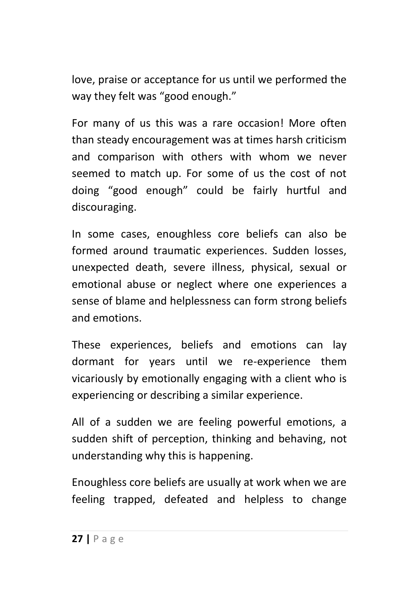love, praise or acceptance for us until we performed the way they felt was "good enough."

For many of us this was a rare occasion! More often than steady encouragement was at times harsh criticism and comparison with others with whom we never seemed to match up. For some of us the cost of not doing "good enough" could be fairly hurtful and discouraging.

In some cases, enoughless core beliefs can also be formed around traumatic experiences. Sudden losses, unexpected death, severe illness, physical, sexual or emotional abuse or neglect where one experiences a sense of blame and helplessness can form strong beliefs and emotions.

These experiences, beliefs and emotions can lay dormant for years until we re-experience them vicariously by emotionally engaging with a client who is experiencing or describing a similar experience.

All of a sudden we are feeling powerful emotions, a sudden shift of perception, thinking and behaving, not understanding why this is happening.

Enoughless core beliefs are usually at work when we are feeling trapped, defeated and helpless to change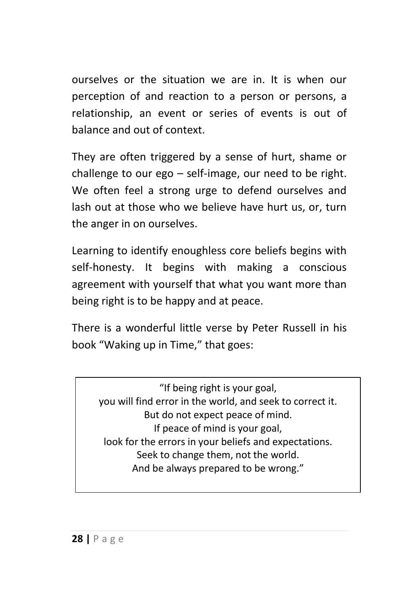ourselves or the situation we are in. It is when our perception of and reaction to a person or persons, a relationship, an event or series of events is out of balance and out of context.

They are often triggered by a sense of hurt, shame or challenge to our ego – self-image, our need to be right. We often feel a strong urge to defend ourselves and lash out at those who we believe have hurt us, or, turn the anger in on ourselves.

Learning to identify enoughless core beliefs begins with self-honesty. It begins with making a conscious agreement with yourself that what you want more than being right is to be happy and at peace.

There is a wonderful little verse by Peter Russell in his book "Waking up in Time," that goes:

"If being right is your goal, you will find error in the world, and seek to correct it. But do not expect peace of mind. If peace of mind is your goal, look for the errors in your beliefs and expectations. Seek to change them, not the world. And be always prepared to be wrong."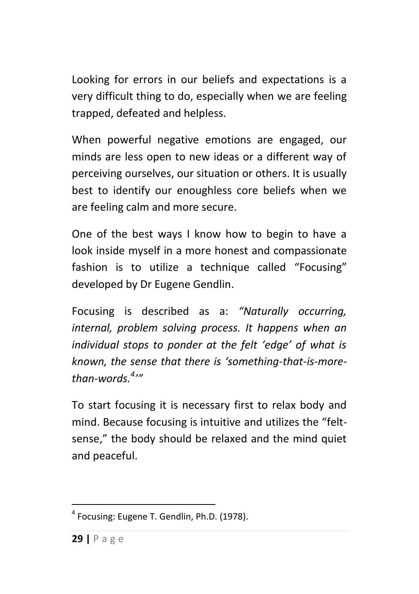Looking for errors in our beliefs and expectations is a very difficult thing to do, especially when we are feeling trapped, defeated and helpless.

When powerful negative emotions are engaged, our minds are less open to new ideas or a different way of perceiving ourselves, our situation or others. It is usually best to identify our enoughless core beliefs when we are feeling calm and more secure.

One of the best ways I know how to begin to have a look inside myself in a more honest and compassionate fashion is to utilize a technique called "Focusing" developed by Dr Eugene Gendlin.

Focusing is described as a: *"Naturally occurring, internal, problem solving process. It happens when an individual stops to ponder at the felt 'edge' of what is known, the sense that there is 'something-that-is-morethan-words.<sup>4</sup> '"*

To start focusing it is necessary first to relax body and mind. Because focusing is intuitive and utilizes the "feltsense," the body should be relaxed and the mind quiet and peaceful.

1

<sup>&</sup>lt;sup>4</sup> Focusing: Eugene T. Gendlin, Ph.D. (1978).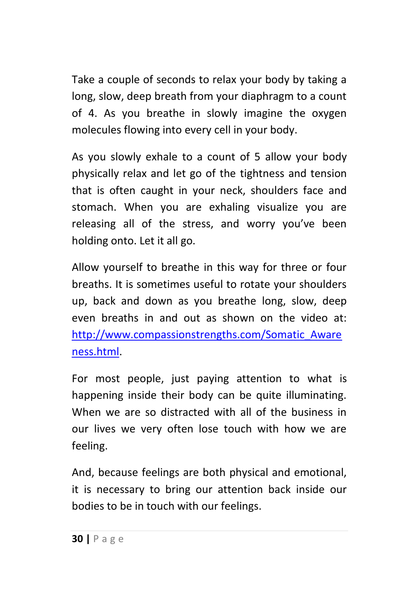Take a couple of seconds to relax your body by taking a long, slow, deep breath from your diaphragm to a count of 4. As you breathe in slowly imagine the oxygen molecules flowing into every cell in your body.

As you slowly exhale to a count of 5 allow your body physically relax and let go of the tightness and tension that is often caught in your neck, shoulders face and stomach. When you are exhaling visualize you are releasing all of the stress, and worry you've been holding onto. Let it all go.

Allow yourself to breathe in this way for three or four breaths. It is sometimes useful to rotate your shoulders up, back and down as you breathe long, slow, deep even breaths in and out as shown on the video at: [http://www.compassionstrengths.com/Somatic\\_Aware](http://www.compassionstrengths.com/Somatic_Awareness.html) [ness.html.](http://www.compassionstrengths.com/Somatic_Awareness.html)

For most people, just paying attention to what is happening inside their body can be quite illuminating. When we are so distracted with all of the business in our lives we very often lose touch with how we are feeling.

And, because feelings are both physical and emotional, it is necessary to bring our attention back inside our bodies to be in touch with our feelings.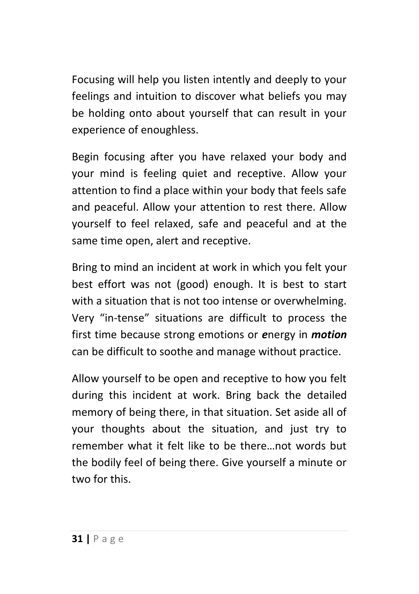Focusing will help you listen intently and deeply to your feelings and intuition to discover what beliefs you may be holding onto about yourself that can result in your experience of enoughless.

Begin focusing after you have relaxed your body and your mind is feeling quiet and receptive. Allow your attention to find a place within your body that feels safe and peaceful. Allow your attention to rest there. Allow yourself to feel relaxed, safe and peaceful and at the same time open, alert and receptive.

Bring to mind an incident at work in which you felt your best effort was not (good) enough. It is best to start with a situation that is not too intense or overwhelming. Very "in-tense" situations are difficult to process the first time because strong emotions or *e*nergy in *motion* can be difficult to soothe and manage without practice.

Allow yourself to be open and receptive to how you felt during this incident at work. Bring back the detailed memory of being there, in that situation. Set aside all of your thoughts about the situation, and just try to remember what it felt like to be there…not words but the bodily feel of being there. Give yourself a minute or two for this.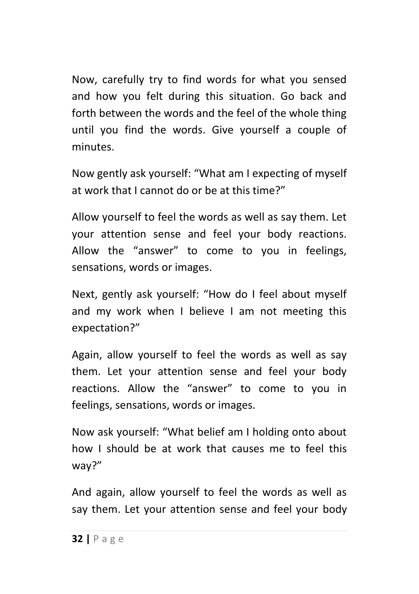Now, carefully try to find words for what you sensed and how you felt during this situation. Go back and forth between the words and the feel of the whole thing until you find the words. Give yourself a couple of minutes.

Now gently ask yourself: "What am I expecting of myself at work that I cannot do or be at this time?"

Allow yourself to feel the words as well as say them. Let your attention sense and feel your body reactions. Allow the "answer" to come to you in feelings, sensations, words or images.

Next, gently ask yourself: "How do I feel about myself and my work when I believe I am not meeting this expectation?"

Again, allow yourself to feel the words as well as say them. Let your attention sense and feel your body reactions. Allow the "answer" to come to you in feelings, sensations, words or images.

Now ask yourself: "What belief am I holding onto about how I should be at work that causes me to feel this way?"

And again, allow yourself to feel the words as well as say them. Let your attention sense and feel your body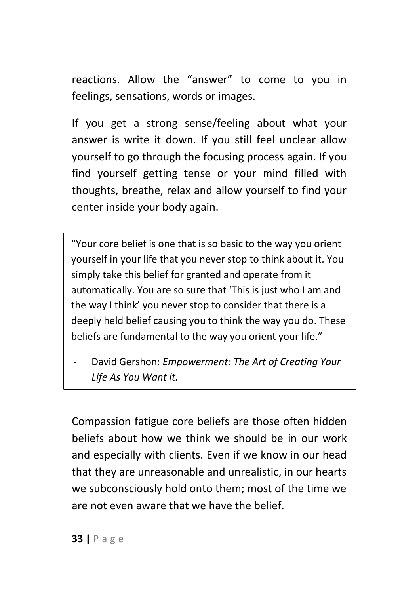reactions. Allow the "answer" to come to you in feelings, sensations, words or images.

If you get a strong sense/feeling about what your answer is write it down. If you still feel unclear allow yourself to go through the focusing process again. If you find yourself getting tense or your mind filled with thoughts, breathe, relax and allow yourself to find your center inside your body again.

"Your core belief is one that is so basic to the way you orient yourself in your life that you never stop to think about it. You simply take this belief for granted and operate from it automatically. You are so sure that 'This is just who I am and the way I think' you never stop to consider that there is a deeply held belief causing you to think the way you do. These beliefs are fundamental to the way you orient your life."

- David Gershon: *Empowerment: The Art of Creating Your Life As You Want it.*

Compassion fatigue core beliefs are those often hidden beliefs about how we think we should be in our work and especially with clients. Even if we know in our head that they are unreasonable and unrealistic, in our hearts we subconsciously hold onto them; most of the time we are not even aware that we have the belief.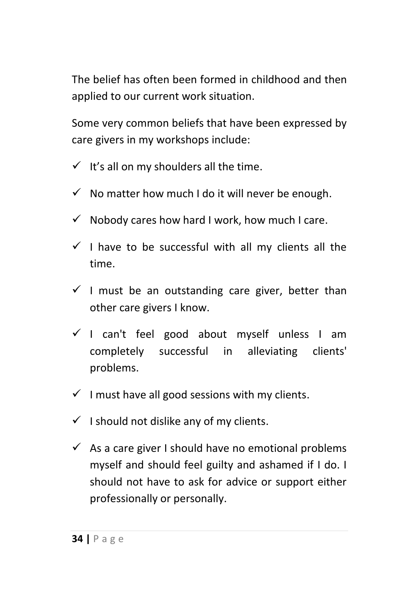The belief has often been formed in childhood and then applied to our current work situation.

Some very common beliefs that have been expressed by care givers in my workshops include:

- $\checkmark$  It's all on my shoulders all the time.
- $\checkmark$  No matter how much I do it will never be enough.
- $\checkmark$  Nobody cares how hard I work, how much I care.
- $\checkmark$  I have to be successful with all my clients all the time.
- $\checkmark$  I must be an outstanding care giver, better than other care givers I know.
- $\checkmark$  I can't feel good about myself unless I am completely successful in alleviating clients' problems.
- $\checkmark$  I must have all good sessions with my clients.
- $\checkmark$  I should not dislike any of my clients.
- $\checkmark$  As a care giver I should have no emotional problems myself and should feel guilty and ashamed if I do. I should not have to ask for advice or support either professionally or personally.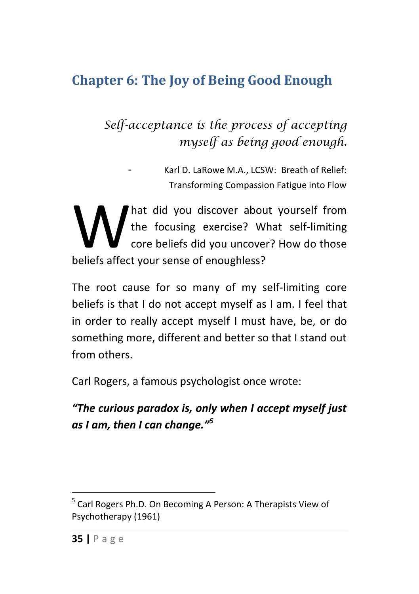## <span id="page-35-0"></span>**Chapter 6: The Joy of Being Good Enough**

### *Self-acceptance is the process of accepting myself as being good enough.*

- Karl D. LaRowe M.A., LCSW: Breath of Relief: Transforming Compassion Fatigue into Flow

hat did you discover about yourself from the focusing exercise? What self-limiting core beliefs did you uncover? How do those Mat did you discover about the focusing exercise? We core beliefs did you uncover beliefs affect your sense of enoughless?

The root cause for so many of my self-limiting core beliefs is that I do not accept myself as I am. I feel that in order to really accept myself I must have, be, or do something more, different and better so that I stand out from others.

Carl Rogers, a famous psychologist once wrote:

*"The curious paradox is, only when I accept myself just as I am, then I can change."<sup>5</sup>*

**.** 

<sup>&</sup>lt;sup>5</sup> Carl Rogers Ph.D. On Becoming A Person: A Therapists View of Psychotherapy (1961)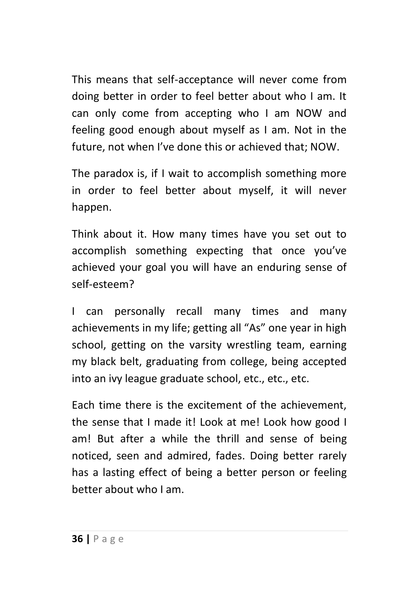This means that self-acceptance will never come from doing better in order to feel better about who I am. It can only come from accepting who I am NOW and feeling good enough about myself as I am. Not in the future, not when I've done this or achieved that; NOW.

The paradox is, if I wait to accomplish something more in order to feel better about myself, it will never happen.

Think about it. How many times have you set out to accomplish something expecting that once you've achieved your goal you will have an enduring sense of self-esteem?

I can personally recall many times and many achievements in my life; getting all "As" one year in high school, getting on the varsity wrestling team, earning my black belt, graduating from college, being accepted into an ivy league graduate school, etc., etc., etc.

Each time there is the excitement of the achievement, the sense that I made it! Look at me! Look how good I am! But after a while the thrill and sense of being noticed, seen and admired, fades. Doing better rarely has a lasting effect of being a better person or feeling better about who I am.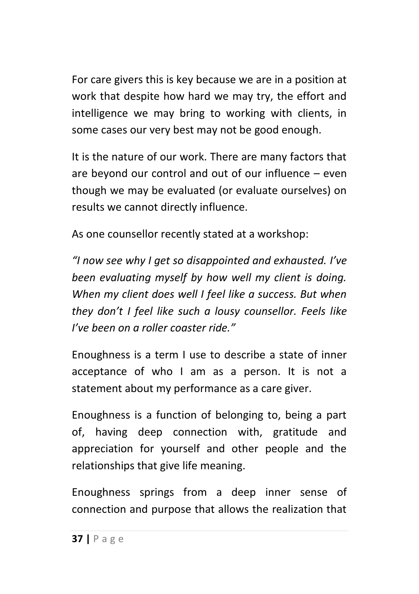For care givers this is key because we are in a position at work that despite how hard we may try, the effort and intelligence we may bring to working with clients, in some cases our very best may not be good enough.

It is the nature of our work. There are many factors that are beyond our control and out of our influence – even though we may be evaluated (or evaluate ourselves) on results we cannot directly influence.

As one counsellor recently stated at a workshop:

*"I now see why I get so disappointed and exhausted. I've been evaluating myself by how well my client is doing. When my client does well I feel like a success. But when they don't I feel like such a lousy counsellor. Feels like I've been on a roller coaster ride."*

Enoughness is a term I use to describe a state of inner acceptance of who I am as a person. It is not a statement about my performance as a care giver.

Enoughness is a function of belonging to, being a part of, having deep connection with, gratitude and appreciation for yourself and other people and the relationships that give life meaning.

Enoughness springs from a deep inner sense of connection and purpose that allows the realization that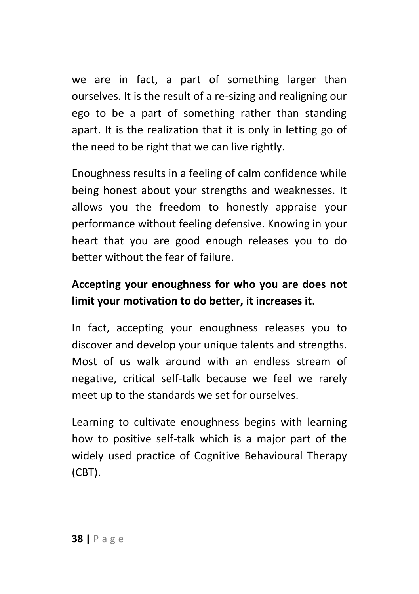we are in fact, a part of something larger than ourselves. It is the result of a re-sizing and realigning our ego to be a part of something rather than standing apart. It is the realization that it is only in letting go of the need to be right that we can live rightly.

Enoughness results in a feeling of calm confidence while being honest about your strengths and weaknesses. It allows you the freedom to honestly appraise your performance without feeling defensive. Knowing in your heart that you are good enough releases you to do better without the fear of failure.

#### **Accepting your enoughness for who you are does not limit your motivation to do better, it increases it.**

In fact, accepting your enoughness releases you to discover and develop your unique talents and strengths. Most of us walk around with an endless stream of negative, critical self-talk because we feel we rarely meet up to the standards we set for ourselves.

Learning to cultivate enoughness begins with learning how to positive self-talk which is a major part of the widely used practice of Cognitive Behavioural Therapy (CBT).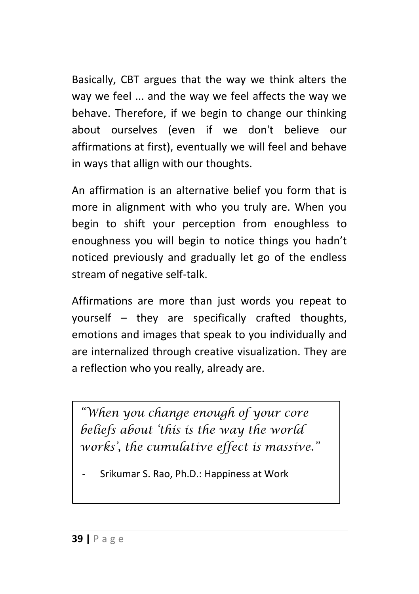Basically, CBT argues that the way we think alters the way we feel ... and the way we feel affects the way we behave. Therefore, if we begin to change our thinking about ourselves (even if we don't believe our affirmations at first), eventually we will feel and behave in ways that allign with our thoughts.

An affirmation is an alternative belief you form that is more in alignment with who you truly are. When you begin to shift your perception from enoughless to enoughness you will begin to notice things you hadn't noticed previously and gradually let go of the endless stream of negative self-talk.

Affirmations are more than just words you repeat to yourself – they are specifically crafted thoughts, emotions and images that speak to you individually and are internalized through creative visualization. They are a reflection who you really, already are.

*"When you change enough of your core beliefs about 'this is the way the world works', the cumulative effect is massive."*

| - Srikumar S. Rao, Ph.D.: Happiness at Work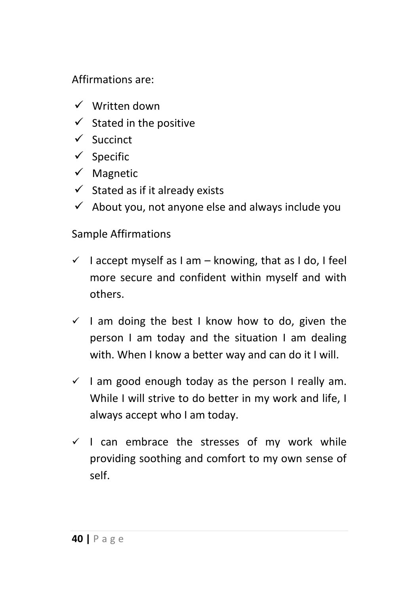#### Affirmations are:

- $\checkmark$  Written down
- $\checkmark$  Stated in the positive
- $\checkmark$  Succinct
- $\checkmark$  Specific
- $\checkmark$  Magnetic
- $\checkmark$  Stated as if it already exists
- $\checkmark$  About you, not anyone else and always include you

#### Sample Affirmations

- $\checkmark$  I accept myself as I am knowing, that as I do, I feel more secure and confident within myself and with others.
- $\checkmark$  I am doing the best I know how to do, given the person I am today and the situation I am dealing with. When I know a better way and can do it I will.
- $\checkmark$  I am good enough today as the person I really am. While I will strive to do better in my work and life, I always accept who I am today.
- $\checkmark$  I can embrace the stresses of my work while providing soothing and comfort to my own sense of self.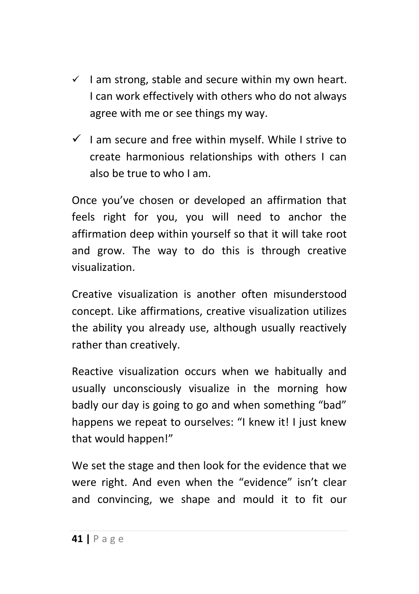- $\checkmark$  I am strong, stable and secure within my own heart. I can work effectively with others who do not always agree with me or see things my way.
- $\checkmark$  I am secure and free within myself. While I strive to create harmonious relationships with others I can also be true to who I am.

Once you've chosen or developed an affirmation that feels right for you, you will need to anchor the affirmation deep within yourself so that it will take root and grow. The way to do this is through creative visualization.

Creative visualization is another often misunderstood concept. Like affirmations, creative visualization utilizes the ability you already use, although usually reactively rather than creatively.

Reactive visualization occurs when we habitually and usually unconsciously visualize in the morning how badly our day is going to go and when something "bad" happens we repeat to ourselves: "I knew it! I just knew that would happen!"

We set the stage and then look for the evidence that we were right. And even when the "evidence" isn't clear and convincing, we shape and mould it to fit our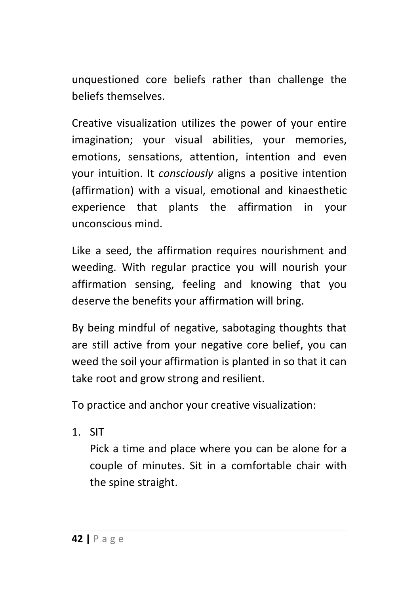unquestioned core beliefs rather than challenge the beliefs themselves.

Creative visualization utilizes the power of your entire imagination; your visual abilities, your memories, emotions, sensations, attention, intention and even your intuition. It *consciously* aligns a positive intention (affirmation) with a visual, emotional and kinaesthetic experience that plants the affirmation in your unconscious mind.

Like a seed, the affirmation requires nourishment and weeding. With regular practice you will nourish your affirmation sensing, feeling and knowing that you deserve the benefits your affirmation will bring.

By being mindful of negative, sabotaging thoughts that are still active from your negative core belief, you can weed the soil your affirmation is planted in so that it can take root and grow strong and resilient.

To practice and anchor your creative visualization:

1. SIT

Pick a time and place where you can be alone for a couple of minutes. Sit in a comfortable chair with the spine straight.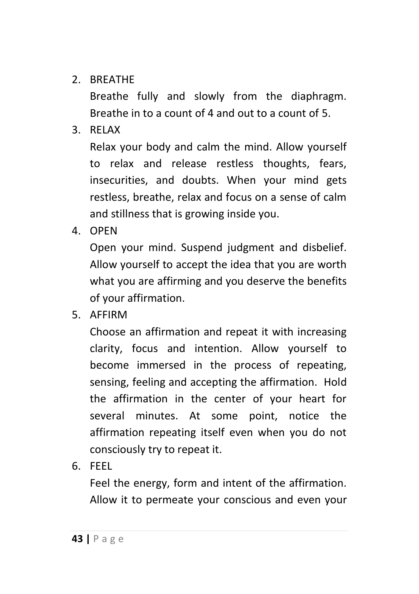2. BREATHE

Breathe fully and slowly from the diaphragm. Breathe in to a count of 4 and out to a count of 5.

3. RELAX

Relax your body and calm the mind. Allow yourself to relax and release restless thoughts, fears, insecurities, and doubts. When your mind gets restless, breathe, relax and focus on a sense of calm and stillness that is growing inside you.

4. OPEN

Open your mind. Suspend judgment and disbelief. Allow yourself to accept the idea that you are worth what you are affirming and you deserve the benefits of your affirmation.

5. AFFIRM

Choose an affirmation and repeat it with increasing clarity, focus and intention. Allow yourself to become immersed in the process of repeating, sensing, feeling and accepting the affirmation. Hold the affirmation in the center of your heart for several minutes. At some point, notice the affirmation repeating itself even when you do not consciously try to repeat it.

6. FEEL

Feel the energy, form and intent of the affirmation. Allow it to permeate your conscious and even your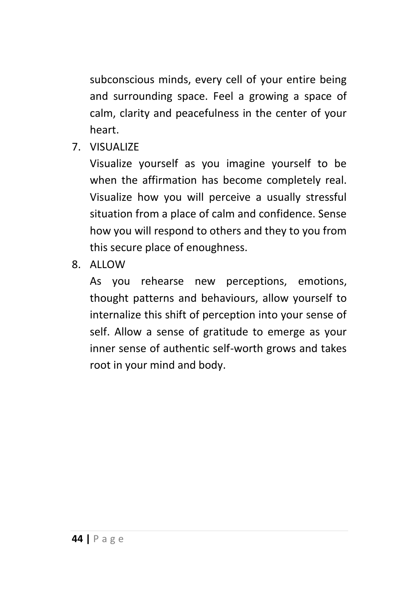subconscious minds, every cell of your entire being and surrounding space. Feel a growing a space of calm, clarity and peacefulness in the center of your heart.

7. VISUALIZE

Visualize yourself as you imagine yourself to be when the affirmation has become completely real. Visualize how you will perceive a usually stressful situation from a place of calm and confidence. Sense how you will respond to others and they to you from this secure place of enoughness.

8. ALLOW

As you rehearse new perceptions, emotions, thought patterns and behaviours, allow yourself to internalize this shift of perception into your sense of self. Allow a sense of gratitude to emerge as your inner sense of authentic self-worth grows and takes root in your mind and body.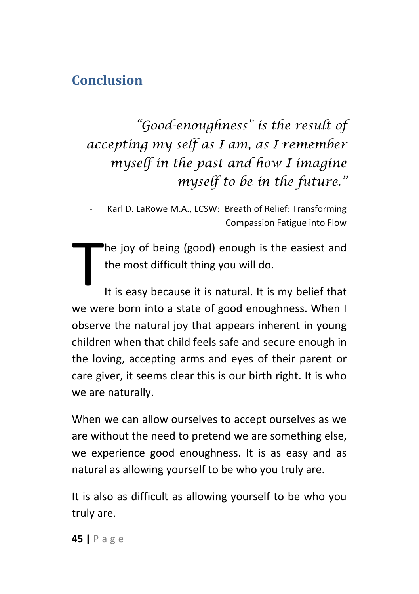#### <span id="page-45-0"></span>**Conclusion**

*"Good-enoughness" is the result of accepting my self as I am, as I remember myself in the past and how I imagine myself to be in the future."*

- Karl D. LaRowe M.A., LCSW: Breath of Relief: Transforming Compassion Fatigue into Flow

he joy of being (good) enough is the easiest and the most difficult thing you will do.

It is easy because it is natural. It is my belief that we were born into a state of good enoughness. When I observe the natural joy that appears inherent in young children when that child feels safe and secure enough in the loving, accepting arms and eyes of their parent or care giver, it seems clear this is our birth right. It is who we are naturally. T

When we can allow ourselves to accept ourselves as we are without the need to pretend we are something else, we experience good enoughness. It is as easy and as natural as allowing yourself to be who you truly are.

It is also as difficult as allowing yourself to be who you truly are.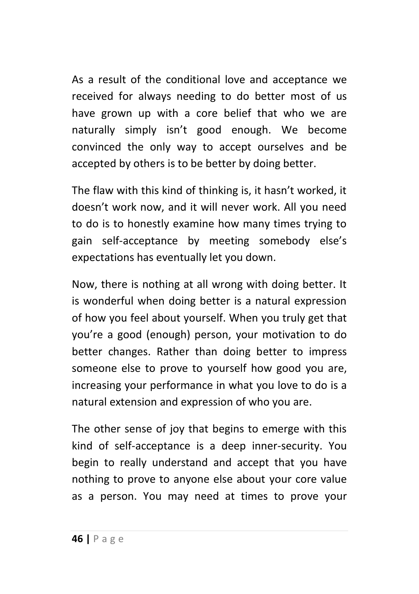As a result of the conditional love and acceptance we received for always needing to do better most of us have grown up with a core belief that who we are naturally simply isn't good enough. We become convinced the only way to accept ourselves and be accepted by others is to be better by doing better.

The flaw with this kind of thinking is, it hasn't worked, it doesn't work now, and it will never work. All you need to do is to honestly examine how many times trying to gain self-acceptance by meeting somebody else's expectations has eventually let you down.

Now, there is nothing at all wrong with doing better. It is wonderful when doing better is a natural expression of how you feel about yourself. When you truly get that you're a good (enough) person, your motivation to do better changes. Rather than doing better to impress someone else to prove to yourself how good you are, increasing your performance in what you love to do is a natural extension and expression of who you are.

The other sense of joy that begins to emerge with this kind of self-acceptance is a deep inner-security. You begin to really understand and accept that you have nothing to prove to anyone else about your core value as a person. You may need at times to prove your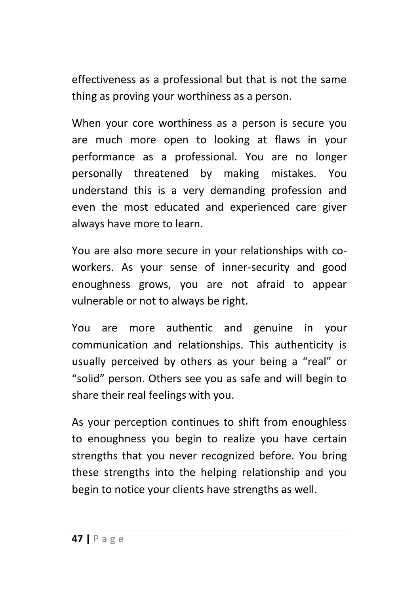effectiveness as a professional but that is not the same thing as proving your worthiness as a person.

When your core worthiness as a person is secure you are much more open to looking at flaws in your performance as a professional. You are no longer personally threatened by making mistakes. You understand this is a very demanding profession and even the most educated and experienced care giver always have more to learn.

You are also more secure in your relationships with coworkers. As your sense of inner-security and good enoughness grows, you are not afraid to appear vulnerable or not to always be right.

You are more authentic and genuine in your communication and relationships. This authenticity is usually perceived by others as your being a "real" or "solid" person. Others see you as safe and will begin to share their real feelings with you.

As your perception continues to shift from enoughless to enoughness you begin to realize you have certain strengths that you never recognized before. You bring these strengths into the helping relationship and you begin to notice your clients have strengths as well.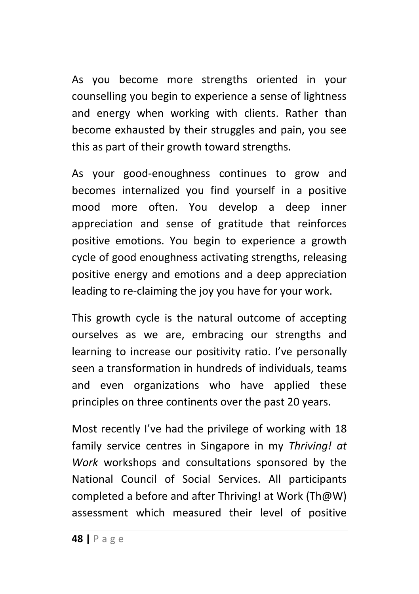As you become more strengths oriented in your counselling you begin to experience a sense of lightness and energy when working with clients. Rather than become exhausted by their struggles and pain, you see this as part of their growth toward strengths.

As your good-enoughness continues to grow and becomes internalized you find yourself in a positive mood more often. You develop a deep inner appreciation and sense of gratitude that reinforces positive emotions. You begin to experience a growth cycle of good enoughness activating strengths, releasing positive energy and emotions and a deep appreciation leading to re-claiming the joy you have for your work.

This growth cycle is the natural outcome of accepting ourselves as we are, embracing our strengths and learning to increase our positivity ratio. I've personally seen a transformation in hundreds of individuals, teams and even organizations who have applied these principles on three continents over the past 20 years.

Most recently I've had the privilege of working with 18 family service centres in Singapore in my *Thriving! at Work* workshops and consultations sponsored by the National Council of Social Services. All participants completed a before and after Thriving! at Work (Th@W) assessment which measured their level of positive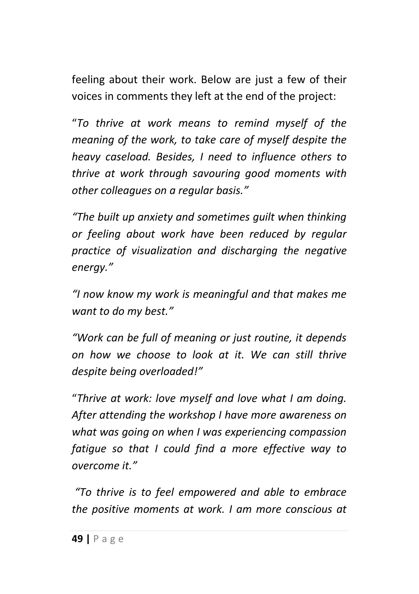feeling about their work. Below are just a few of their voices in comments they left at the end of the project:

"*To thrive at work means to remind myself of the meaning of the work, to take care of myself despite the heavy caseload. Besides, I need to influence others to thrive at work through savouring good moments with other colleagues on a regular basis."*

*"The built up anxiety and sometimes guilt when thinking or feeling about work have been reduced by regular practice of visualization and discharging the negative energy."*

*"I now know my work is meaningful and that makes me want to do my best."*

*"Work can be full of meaning or just routine, it depends on how we choose to look at it. We can still thrive despite being overloaded!"*

"*Thrive at work: love myself and love what I am doing. After attending the workshop I have more awareness on what was going on when I was experiencing compassion fatigue so that I could find a more effective way to overcome it."*

*"To thrive is to feel empowered and able to embrace the positive moments at work. I am more conscious at*